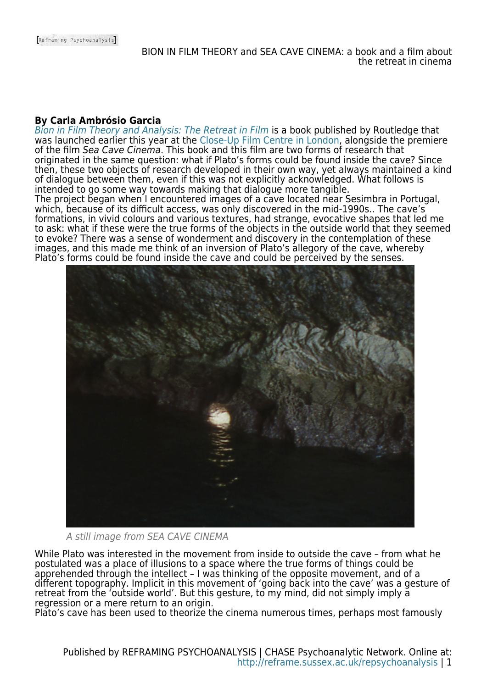## **By Carla Ambrósio Garcia**

[Bion in Film Theory and Analysis: The Retreat in Film](https://books.google.co.uk/books?id=cCwlDwAAQBAJ&lpg=PR1&ots=6QfKRQSidL&dq=Bion%20in%20Film%20Theory%20and%20Analysis%3A%20The%20Retreat%20in%20Film&pg=PR1#v=onepage&q=Bion%20in%20Film%20Theory%20and%20Analysis:%20The%20Retreat%20in%20Film&f=false) is a book published by Routledge that was launched earlier this year at the [Close-Up Film Centre in London,](https://www.closeupfilmcentre.com/film_programmes/2017/bion-in-film-theory-and-analysis-book-launch/) alongside the premiere of the film Sea Cave Cinema. This book and this film are two forms of research that originated in the same question: what if Plato's forms could be found inside the cave? Since then, these two objects of research developed in their own way, yet always maintained a kind of dialogue between them, even if this was not explicitly acknowledged. What follows is intended to go some way towards making that dialogue more tangible.

The project began when I encountered images of a cave located near Sesimbra in Portugal, which, because of its difficult access, was only discovered in the mid-1990s.. The cave's formations, in vivid colours and various textures, had strange, evocative shapes that led me to ask: what if these were the true forms of the objects in the outside world that they seemed to evoke? There was a sense of wonderment and discovery in the contemplation of these images, and this made me think of an inversion of Plato's allegory of the cave, whereby Plato's forms could be found inside the cave and could be perceived by the senses.



A still image from SEA CAVE CINEMA

While Plato was interested in the movement from inside to outside the cave – from what he postulated was a place of illusions to a space where the true forms of things could be apprehended through the intellect – I was thinking of the opposite movement, and of a different topography. Implicit in this movement of 'going back into the cave' was a gesture of retreat from the 'outside world'. But this gesture, to my mind, did not simply imply a regression or a mere return to an origin.

Plato's cave has been used to theorize the cinema numerous times, perhaps most famously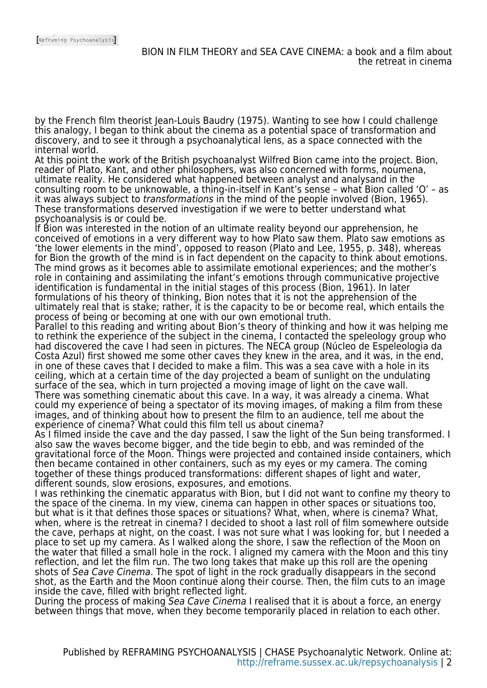by the French film theorist Jean-Louis Baudry (1975). Wanting to see how I could challenge this analogy, I began to think about the cinema as a potential space of transformation and discovery, and to see it through a psychoanalytical lens, as a space connected with the internal world.

At this point the work of the British psychoanalyst Wilfred Bion came into the project. Bion, reader of Plato, Kant, and other philosophers, was also concerned with forms, noumena, ultimate reality. He considered what happened between analyst and analysand in the consulting room to be unknowable, a thing-in-itself in Kant's sense – what Bion called 'O' – as it was always subject to transformations in the mind of the people involved (Bion, 1965). These transformations deserved investigation if we were to better understand what psychoanalysis is or could be.

If Bion was interested in the notion of an ultimate reality beyond our apprehension, he conceived of emotions in a very different way to how Plato saw them. Plato saw emotions as 'the lower elements in the mind', opposed to reason (Plato and Lee, 1955, p. 348), whereas for Bion the growth of the mind is in fact dependent on the capacity to think about emotions. The mind grows as it becomes able to assimilate emotional experiences; and the mother's role in containing and assimilating the infant's emotions through communicative projective identification is fundamental in the initial stages of this process (Bion, 1961). In later formulations of his theory of thinking, Bion notes that it is not the apprehension of the ultimately real that is stake; rather, it is the capacity to be or become real, which entails the process of being or becoming at one with our own emotional truth.

Parallel to this reading and writing about Bion's theory of thinking and how it was helping me to rethink the experience of the subject in the cinema, I contacted the speleology group who had discovered the cave I had seen in pictures. The NECA group (Núcleo de Espeleologia da Costa Azul) first showed me some other caves they knew in the area, and it was, in the end, in one of these caves that I decided to make a film. This was a sea cave with a hole in its ceiling, which at a certain time of the day projected a beam of sunlight on the undulating surface of the sea, which in turn projected a moving image of light on the cave wall. There was something cinematic about this cave. In a way, it was already a cinema. What could my experience of being a spectator of its moving images, of making a film from these images, and of thinking about how to present the film to an audience, tell me about the experience of cinema? What could this film tell us about cinema?

As I filmed inside the cave and the day passed, I saw the light of the Sun being transformed. I also saw the waves become bigger, and the tide begin to ebb, and was reminded of the gravitational force of the Moon. Things were projected and contained inside containers, which then became contained in other containers, such as my eyes or my camera. The coming together of these things produced transformations: different shapes of light and water, different sounds, slow erosions, exposures, and emotions.

I was rethinking the cinematic apparatus with Bion, but I did not want to confine my theory to the space of the cinema. In my view, cinema can happen in other spaces or situations too, but what is it that defines those spaces or situations? What, when, where is cinema? What, when, where is the retreat in cinema? I decided to shoot a last roll of film somewhere outside the cave, perhaps at night, on the coast. I was not sure what I was looking for, but I needed a place to set up my camera. As I walked along the shore, I saw the reflection of the Moon on the water that filled a small hole in the rock. I aligned my camera with the Moon and this tiny reflection, and let the film run. The two long takes that make up this roll are the opening shots of Sea Cave Cinema. The spot of light in the rock gradually disappears in the second shot, as the Earth and the Moon continue along their course. Then, the film cuts to an image inside the cave, filled with bright reflected light.

During the process of making Sea Cave Cinema I realised that it is about a force, an energy between things that move, when they become temporarily placed in relation to each other.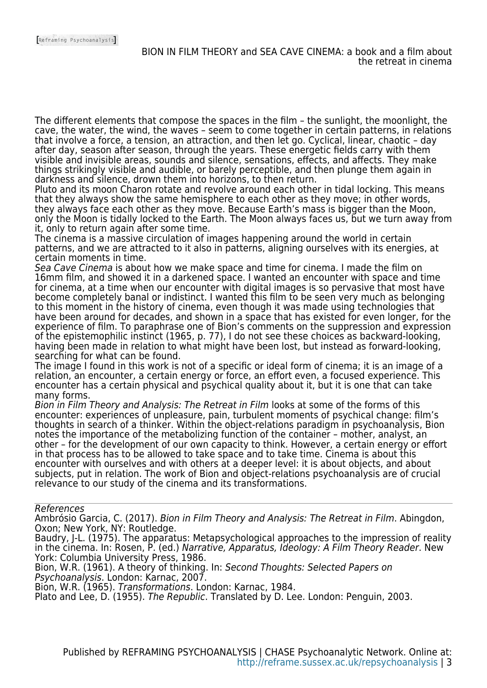The different elements that compose the spaces in the film – the sunlight, the moonlight, the cave, the water, the wind, the waves – seem to come together in certain patterns, in relations that involve a force, a tension, an attraction, and then let go. Cyclical, linear, chaotic – day after day, season after season, through the years. These energetic fields carry with them visible and invisible areas, sounds and silence, sensations, effects, and affects. They make things strikingly visible and audible, or barely perceptible, and then plunge them again in darkness and silence, drown them into horizons, to then return.

Pluto and its moon Charon rotate and revolve around each other in tidal locking. This means that they always show the same hemisphere to each other as they move; in other words, they always face each other as they move. Because Earth's mass is bigger than the Moon, only the Moon is tidally locked to the Earth. The Moon always faces us, but we turn away from it, only to return again after some time.

The cinema is a massive circulation of images happening around the world in certain patterns, and we are attracted to it also in patterns, aligning ourselves with its energies, at certain moments in time.

Sea Cave Cinema is about how we make space and time for cinema. I made the film on 16mm film, and showed it in a darkened space. I wanted an encounter with space and time for cinema, at a time when our encounter with digital images is so pervasive that most have become completely banal or indistinct. I wanted this film to be seen very much as belonging to this moment in the history of cinema, even though it was made using technologies that have been around for decades, and shown in a space that has existed for even longer, for the experience of film. To paraphrase one of Bion's comments on the suppression and expression of the epistemophilic instinct (1965, p. 77), I do not see these choices as backward-looking, having been made in relation to what might have been lost, but instead as forward-looking, searching for what can be found.

The image I found in this work is not of a specific or ideal form of cinema; it is an image of a relation, an encounter, a certain energy or force, an effort even, a focused experience. This encounter has a certain physical and psychical quality about it, but it is one that can take many forms.

Bion in Film Theory and Analysis: The Retreat in Film looks at some of the forms of this encounter: experiences of unpleasure, pain, turbulent moments of psychical change: film's thoughts in search of a thinker. Within the object-relations paradigm in psychoanalysis, Bion notes the importance of the metabolizing function of the container – mother, analyst, an other – for the development of our own capacity to think. However, a certain energy or effort in that process has to be allowed to take space and to take time. Cinema is about this encounter with ourselves and with others at a deeper level: it is about objects, and about subjects, put in relation. The work of Bion and object-relations psychoanalysis are of crucial relevance to our study of the cinema and its transformations.

References

Ambrósio Garcia, C. (2017). Bion in Film Theory and Analysis: The Retreat in Film. Abingdon, Oxon; New York, NY: Routledge.

Baudry, J-L. (1975). The apparatus: Metapsychological approaches to the impression of reality in the cinema. In: Rosen, P. (ed.) Narrative, Apparatus, Ideology: A Film Theory Reader. New York: Columbia University Press, 1986.

Bion, W.R. (1961). A theory of thinking. In: Second Thoughts: Selected Papers on Psychoanalysis. London: Karnac, 2007.

Bion, W.R. (1965). Transformations. London: Karnac, 1984.

Plato and Lee, D. (1955). The Republic. Translated by D. Lee. London: Penguin, 2003.